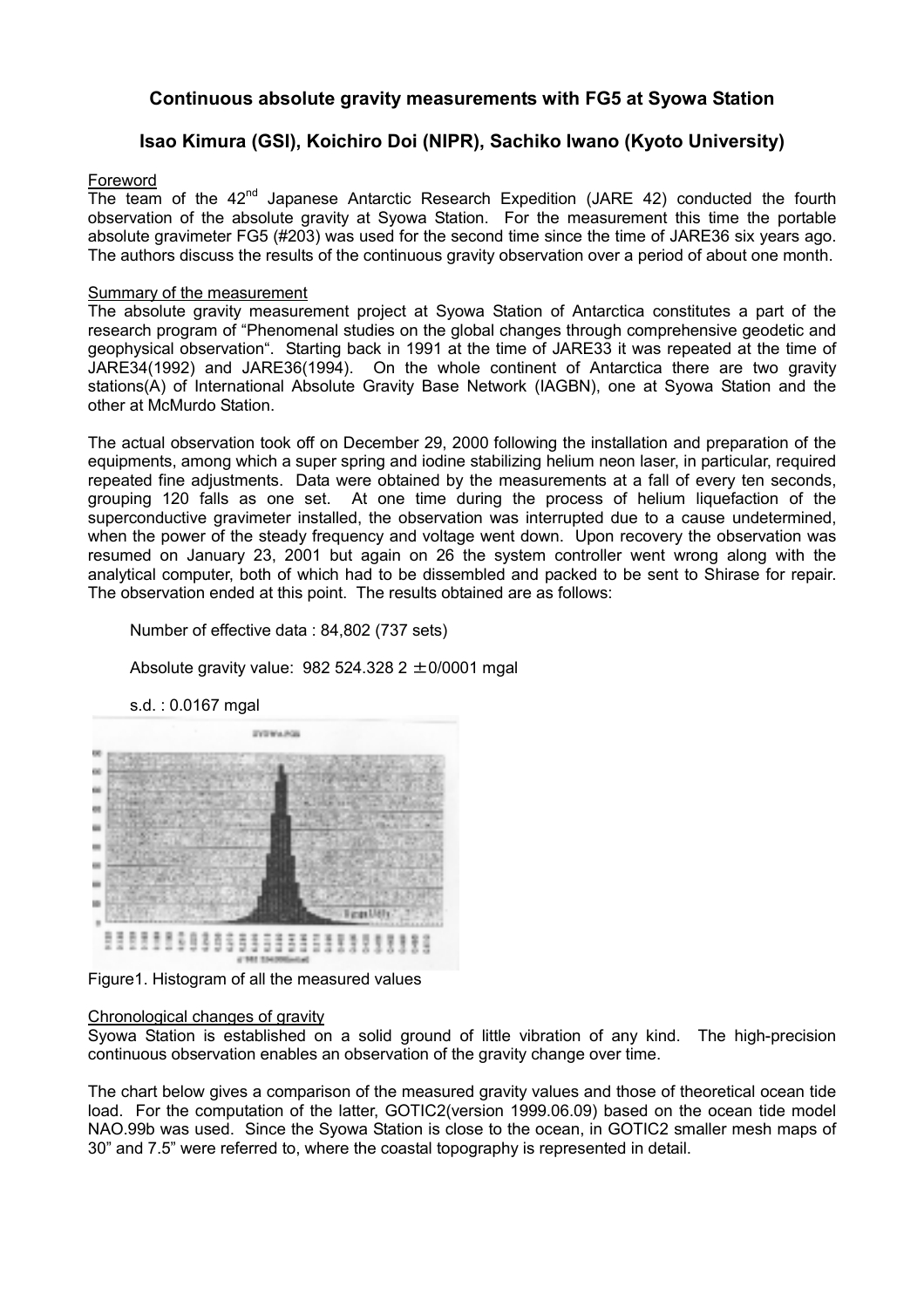# **Continuous absolute gravity measurements with FG5 at Syowa Station**

# **Isao Kimura (GSI), Koichiro Doi (NIPR), Sachiko Iwano (Kyoto University)**

### Foreword

The team of the  $42<sup>nd</sup>$  Japanese Antarctic Research Expedition (JARE 42) conducted the fourth observation of the absolute gravity at Syowa Station. For the measurement this time the portable absolute gravimeter FG5 (#203) was used for the second time since the time of JARE36 six years ago. The authors discuss the results of the continuous gravity observation over a period of about one month.

### Summary of the measurement

The absolute gravity measurement project at Syowa Station of Antarctica constitutes a part of the research program of "Phenomenal studies on the global changes through comprehensive geodetic and geophysical observation". Starting back in 1991 at the time of JARE33 it was repeated at the time of JARE34(1992) and JARE36(1994). On the whole continent of Antarctica there are two gravity stations(A) of International Absolute Gravity Base Network (IAGBN), one at Syowa Station and the other at McMurdo Station.

The actual observation took off on December 29, 2000 following the installation and preparation of the equipments, among which a super spring and iodine stabilizing helium neon laser, in particular, required repeated fine adjustments. Data were obtained by the measurements at a fall of every ten seconds, grouping 120 falls as one set. At one time during the process of helium liquefaction of the superconductive gravimeter installed, the observation was interrupted due to a cause undetermined, when the power of the steady frequency and voltage went down. Upon recovery the observation was resumed on January 23, 2001 but again on 26 the system controller went wrong along with the analytical computer, both of which had to be dissembled and packed to be sent to Shirase for repair. The observation ended at this point. The results obtained are as follows:

Number of effective data : 84,802 (737 sets)

Absolute gravity value:  $982524.3282 \pm 0/0001$  mgal

s.d. : 0.0167 mgal



Figure1. Histogram of all the measured values

#### Chronological changes of gravity

Syowa Station is established on a solid ground of little vibration of any kind. The high-precision continuous observation enables an observation of the gravity change over time.

The chart below gives a comparison of the measured gravity values and those of theoretical ocean tide load. For the computation of the latter, GOTIC2(version 1999.06.09) based on the ocean tide model NAO.99b was used. Since the Syowa Station is close to the ocean, in GOTIC2 smaller mesh maps of 30" and 7.5" were referred to, where the coastal topography is represented in detail.